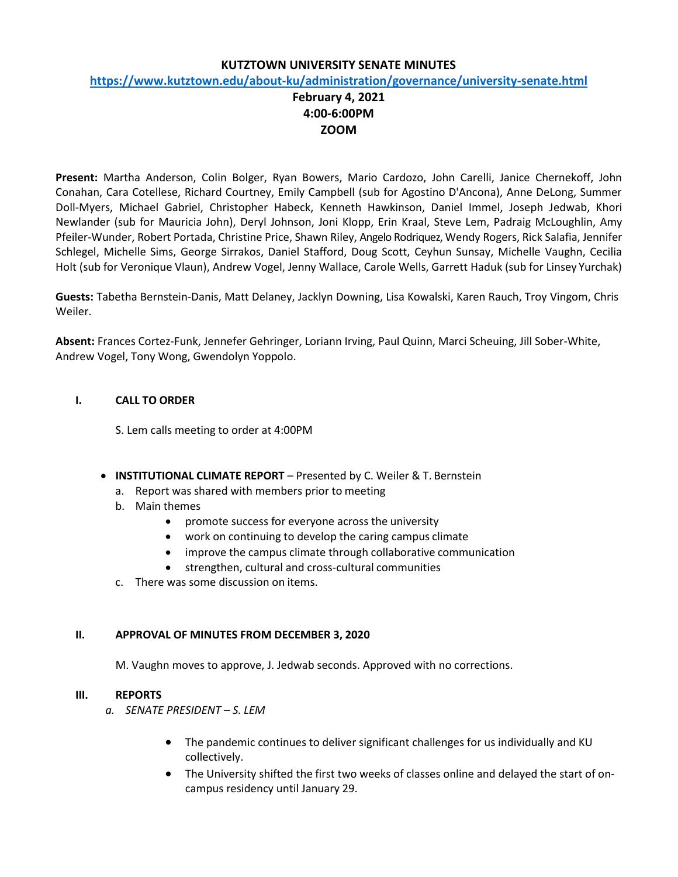#### **KUTZTOWN UNIVERSITY SENATE MINUTES**

#### **https:/[/www.kutztown.edu/about-ku/administration/governance/university-senate.html](http://www.kutztown.edu/about-ku/administration/governance/university-senate.html)**

# **February 4, 2021 4:00-6:00PM ZOOM**

**Present:** Martha Anderson, Colin Bolger, Ryan Bowers, Mario Cardozo, John Carelli, Janice Chernekoff, John Conahan, Cara Cotellese, Richard Courtney, Emily Campbell (sub for Agostino D'Ancona), Anne DeLong, Summer Doll-Myers, Michael Gabriel, Christopher Habeck, Kenneth Hawkinson, Daniel Immel, Joseph Jedwab, Khori Newlander (sub for Mauricia John), Deryl Johnson, Joni Klopp, Erin Kraal, Steve Lem, Padraig McLoughlin, Amy Pfeiler-Wunder, Robert Portada, Christine Price, Shawn Riley, Angelo Rodriquez, Wendy Rogers, Rick Salafia, Jennifer Schlegel, Michelle Sims, George Sirrakos, Daniel Stafford, Doug Scott, Ceyhun Sunsay, Michelle Vaughn, Cecilia Holt (sub for Veronique Vlaun), Andrew Vogel, Jenny Wallace, Carole Wells, Garrett Haduk (sub for Linsey Yurchak)

**Guests:** Tabetha Bernstein-Danis, Matt Delaney, Jacklyn Downing, Lisa Kowalski, Karen Rauch, Troy Vingom, Chris Weiler.

**Absent:** Frances Cortez-Funk, Jennefer Gehringer, Loriann Irving, Paul Quinn, Marci Scheuing, Jill Sober-White, Andrew Vogel, Tony Wong, Gwendolyn Yoppolo.

### **I. CALL TO ORDER**

S. Lem calls meeting to order at 4:00PM

- **INSTITUTIONAL CLIMATE REPORT**  Presented by C. Weiler & T. Bernstein
	- a. Report was shared with members prior to meeting
	- b. Main themes
		- promote success for everyone across the university
		- work on continuing to develop the caring campus climate
		- improve the campus climate through collaborative communication
		- strengthen, cultural and cross-cultural communities
	- c. There was some discussion on items.

#### **II. APPROVAL OF MINUTES FROM DECEMBER 3, 2020**

M. Vaughn moves to approve, J. Jedwab seconds. Approved with no corrections.

#### **III. REPORTS**

- *a. SENATE PRESIDENT – S. LEM*
	- The pandemic continues to deliver significant challenges for us individually and KU collectively.
	- The University shifted the first two weeks of classes online and delayed the start of oncampus residency until January 29.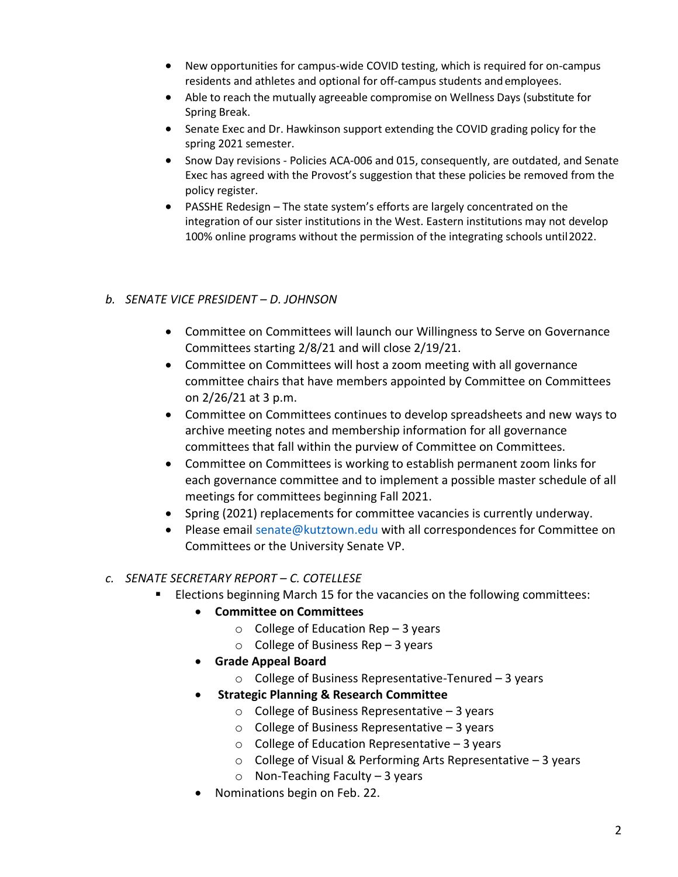- New opportunities for campus-wide COVID testing, which is required for on-campus residents and athletes and optional for off-campus students andemployees.
- Able to reach the mutually agreeable compromise on Wellness Days (substitute for Spring Break.
- Senate Exec and Dr. Hawkinson support extending the COVID grading policy for the spring 2021 semester.
- Snow Day revisions Policies ACA-006 and 015, consequently, are outdated, and Senate Exec has agreed with the Provost's suggestion that these policies be removed from the policy register.
- PASSHE Redesign The state system's efforts are largely concentrated on the integration of our sister institutions in the West. Eastern institutions may not develop 100% online programs without the permission of the integrating schools until2022.

# *b. SENATE VICE PRESIDENT – D. JOHNSON*

- Committee on Committees will launch our Willingness to Serve on Governance Committees starting 2/8/21 and will close 2/19/21.
- Committee on Committees will host a zoom meeting with all governance committee chairs that have members appointed by Committee on Committees on 2/26/21 at 3 p.m.
- Committee on Committees continues to develop spreadsheets and new ways to archive meeting notes and membership information for all governance committees that fall within the purview of Committee on Committees.
- Committee on Committees is working to establish permanent zoom links for each governance committee and to implement a possible master schedule of all meetings for committees beginning Fall 2021.
- Spring (2021) replacements for committee vacancies is currently underway.
- Please email [senate@kutztown.edu w](mailto:senate@kutztown.edu)ith all correspondences for Committee on Committees or the University Senate VP.

# *c. SENATE SECRETARY REPORT – C. COTELLESE*

- **ELECTER 15 FORM 15** For the vacancies on the following committees:
	- **Committee on Committees**
		- $\circ$  College of Education Rep 3 years
		- $\circ$  College of Business Rep 3 years
	- **Grade Appeal Board**
		- o College of Business Representative-Tenured 3 years
	- **Strategic Planning & Research Committee**
		- $\circ$  College of Business Representative 3 years
		- $\circ$  College of Business Representative 3 years
		- $\circ$  College of Education Representative 3 years
		- o College of Visual & Performing Arts Representative 3 years
		- o Non-Teaching Faculty 3 years
	- Nominations begin on Feb. 22.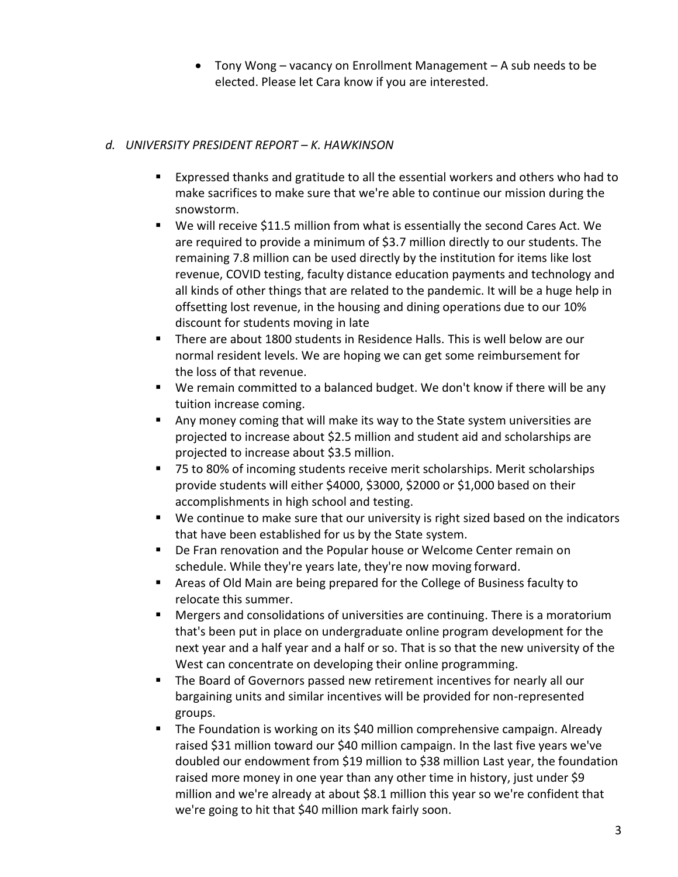• Tony Wong – vacancy on Enrollment Management – A sub needs to be elected. Please let Cara know if you are interested.

# *d. UNIVERSITY PRESIDENT REPORT – K. HAWKINSON*

- Expressed thanks and gratitude to all the essential workers and others who had to make sacrifices to make sure that we're able to continue our mission during the snowstorm.
- We will receive \$11.5 million from what is essentially the second Cares Act. We are required to provide a minimum of \$3.7 million directly to our students. The remaining 7.8 million can be used directly by the institution for items like lost revenue, COVID testing, faculty distance education payments and technology and all kinds of other things that are related to the pandemic. It will be a huge help in offsetting lost revenue, in the housing and dining operations due to our 10% discount for students moving in late
- **There are about 1800 students in Residence Halls. This is well below are our** normal resident levels. We are hoping we can get some reimbursement for the loss of that revenue.
- We remain committed to a balanced budget. We don't know if there will be any tuition increase coming.
- Any money coming that will make its way to the State system universities are projected to increase about \$2.5 million and student aid and scholarships are projected to increase about \$3.5 million.
- 75 to 80% of incoming students receive merit scholarships. Merit scholarships provide students will either \$4000, \$3000, \$2000 or \$1,000 based on their accomplishments in high school and testing.
- We continue to make sure that our university is right sized based on the indicators that have been established for us by the State system.
- **De Fran renovation and the Popular house or Welcome Center remain on** schedule. While they're years late, they're now moving forward.
- Areas of Old Main are being prepared for the College of Business faculty to relocate this summer.
- Mergers and consolidations of universities are continuing. There is a moratorium that's been put in place on undergraduate online program development for the next year and a half year and a half or so. That is so that the new university of the West can concentrate on developing their online programming.
- **•** The Board of Governors passed new retirement incentives for nearly all our bargaining units and similar incentives will be provided for non-represented groups.
- The Foundation is working on its \$40 million comprehensive campaign. Already raised \$31 million toward our \$40 million campaign. In the last five years we've doubled our endowment from \$19 million to \$38 million Last year, the foundation raised more money in one year than any other time in history, just under \$9 million and we're already at about \$8.1 million this year so we're confident that we're going to hit that \$40 million mark fairly soon.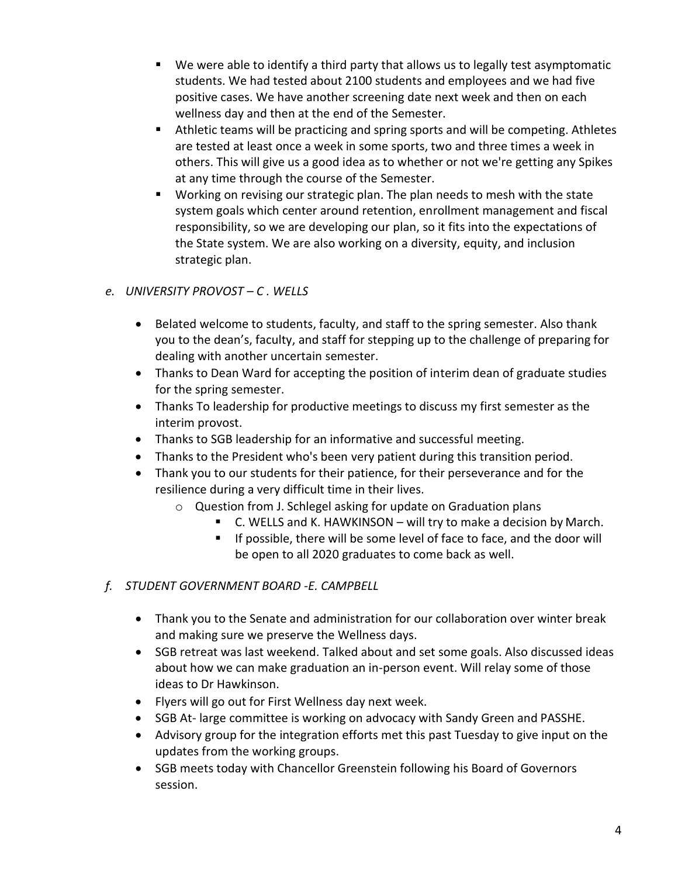- We were able to identify a third party that allows us to legally test asymptomatic students. We had tested about 2100 students and employees and we had five positive cases. We have another screening date next week and then on each wellness day and then at the end of the Semester.
- **E** Athletic teams will be practicing and spring sports and will be competing. Athletes are tested at least once a week in some sports, two and three times a week in others. This will give us a good idea as to whether or not we're getting any Spikes at any time through the course of the Semester.
- Working on revising our strategic plan. The plan needs to mesh with the state system goals which center around retention, enrollment management and fiscal responsibility, so we are developing our plan, so it fits into the expectations of the State system. We are also working on a diversity, equity, and inclusion strategic plan.

# *e. UNIVERSITY PROVOST – C . WELLS*

- Belated welcome to students, faculty, and staff to the spring semester. Also thank you to the dean's, faculty, and staff for stepping up to the challenge of preparing for dealing with another uncertain semester.
- Thanks to Dean Ward for accepting the position of interim dean of graduate studies for the spring semester.
- Thanks To leadership for productive meetings to discuss my first semester as the interim provost.
- Thanks to SGB leadership for an informative and successful meeting.
- Thanks to the President who's been very patient during this transition period.
- Thank you to our students for their patience, for their perseverance and for the resilience during a very difficult time in their lives.
	- o Question from J. Schlegel asking for update on Graduation plans
		- C. WELLS and K. HAWKINSON will try to make a decision by March.
		- If possible, there will be some level of face to face, and the door will be open to all 2020 graduates to come back as well.
- *f. STUDENT GOVERNMENT BOARD -E. CAMPBELL*
	- Thank you to the Senate and administration for our collaboration over winter break and making sure we preserve the Wellness days.
	- SGB retreat was last weekend. Talked about and set some goals. Also discussed ideas about how we can make graduation an in-person event. Will relay some of those ideas to Dr Hawkinson.
	- Flyers will go out for First Wellness day next week.
	- SGB At- large committee is working on advocacy with Sandy Green and PASSHE.
	- Advisory group for the integration efforts met this past Tuesday to give input on the updates from the working groups.
	- SGB meets today with Chancellor Greenstein following his Board of Governors session.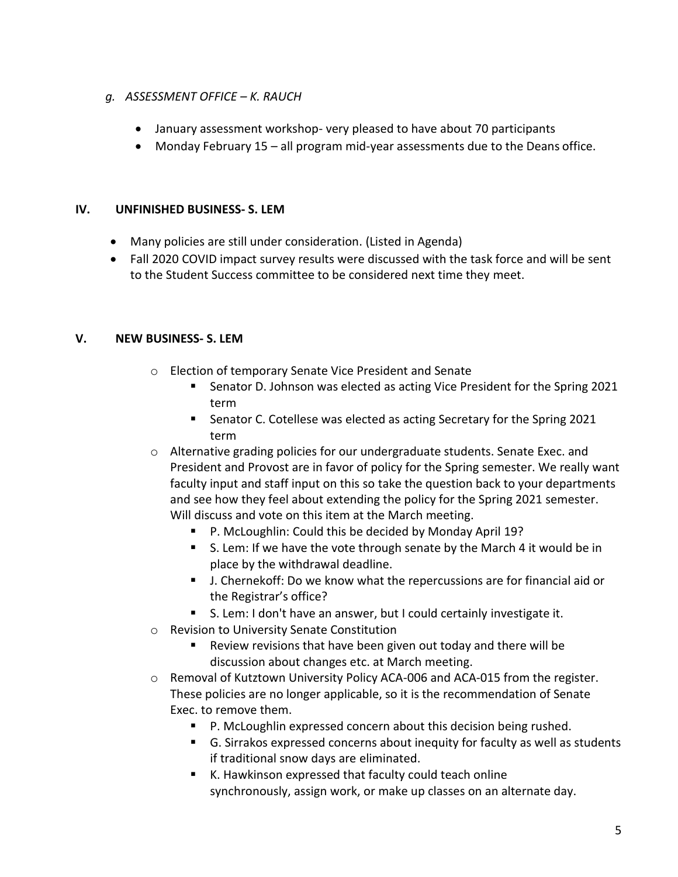### *g. ASSESSMENT OFFICE – K. RAUCH*

- January assessment workshop- very pleased to have about 70 participants
- Monday February 15 all program mid-year assessments due to the Deans office.

### **IV. UNFINISHED BUSINESS- S. LEM**

- Many policies are still under consideration. (Listed in Agenda)
- Fall 2020 COVID impact survey results were discussed with the task force and will be sent to the Student Success committee to be considered next time they meet.

### **V. NEW BUSINESS- S. LEM**

- o Election of temporary Senate Vice President and Senate
	- Senator D. Johnson was elected as acting Vice President for the Spring 2021 term
	- Senator C. Cotellese was elected as acting Secretary for the Spring 2021 term
- $\circ$  Alternative grading policies for our undergraduate students. Senate Exec. and President and Provost are in favor of policy for the Spring semester. We really want faculty input and staff input on this so take the question back to your departments and see how they feel about extending the policy for the Spring 2021 semester. Will discuss and vote on this item at the March meeting.
	- P. McLoughlin: Could this be decided by Monday April 19?
	- S. Lem: If we have the vote through senate by the March 4 it would be in place by the withdrawal deadline.
	- J. Chernekoff: Do we know what the repercussions are for financial aid or the Registrar's office?
	- S. Lem: I don't have an answer, but I could certainly investigate it.
- o Revision to University Senate Constitution
	- Review revisions that have been given out today and there will be discussion about changes etc. at March meeting.
- $\circ$  Removal of Kutztown University Policy ACA-006 and ACA-015 from the register. These policies are no longer applicable, so it is the recommendation of Senate Exec. to remove them.
	- P. McLoughlin expressed concern about this decision being rushed.
	- G. Sirrakos expressed concerns about inequity for faculty as well as students if traditional snow days are eliminated.
	- K. Hawkinson expressed that faculty could teach online synchronously, assign work, or make up classes on an alternate day.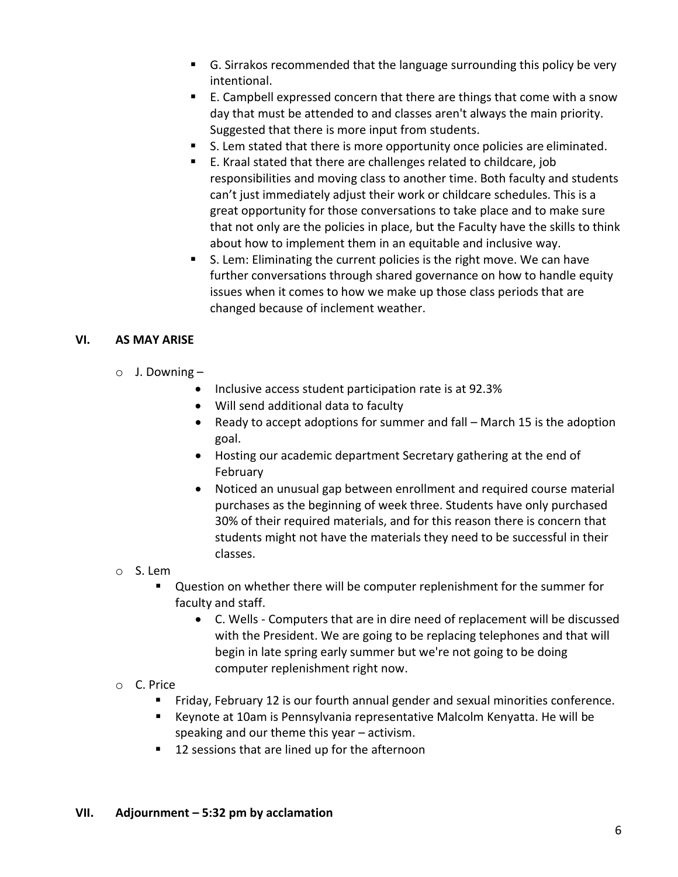- G. Sirrakos recommended that the language surrounding this policy be very intentional.
- E. Campbell expressed concern that there are things that come with a snow day that must be attended to and classes aren't always the main priority. Suggested that there is more input from students.
- S. Lem stated that there is more opportunity once policies are eliminated.
- E. Kraal stated that there are challenges related to childcare, job responsibilities and moving class to another time. Both faculty and students can't just immediately adjust their work or childcare schedules. This is a great opportunity for those conversations to take place and to make sure that not only are the policies in place, but the Faculty have the skills to think about how to implement them in an equitable and inclusive way.
- S. Lem: Eliminating the current policies is the right move. We can have further conversations through shared governance on how to handle equity issues when it comes to how we make up those class periods that are changed because of inclement weather.

### **VI. AS MAY ARISE**

- $\circ$  J. Downing
	- Inclusive access student participation rate is at 92.3%
	- Will send additional data to faculty
	- Ready to accept adoptions for summer and fall March 15 is the adoption goal.
	- Hosting our academic department Secretary gathering at the end of February
	- Noticed an unusual gap between enrollment and required course material purchases as the beginning of week three. Students have only purchased 30% of their required materials, and for this reason there is concern that students might not have the materials they need to be successful in their classes.
- o S. Lem
	- Question on whether there will be computer replenishment for the summer for faculty and staff.
		- C. Wells Computers that are in dire need of replacement will be discussed with the President. We are going to be replacing telephones and that will begin in late spring early summer but we're not going to be doing computer replenishment right now.
- o C. Price
	- Friday, February 12 is our fourth annual gender and sexual minorities conference.
	- Keynote at 10am is Pennsylvania representative Malcolm Kenyatta. He will be speaking and our theme this year – activism.
	- 12 sessions that are lined up for the afternoon